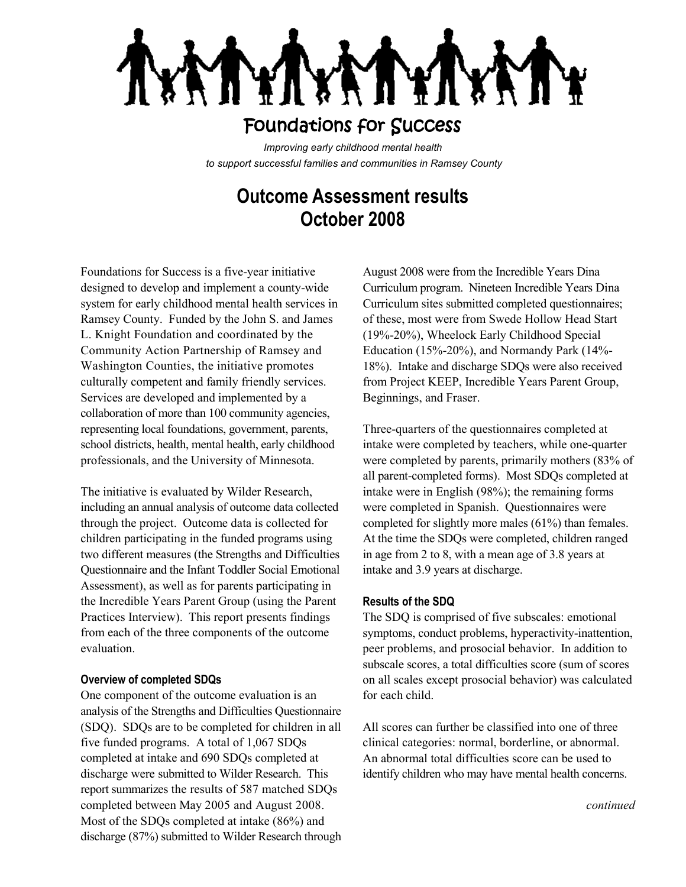## Foundations for Success

*Improving early childhood mental health to support successful families and communities in Ramsey County*

# **Outcome Assessment results October 2008**

Foundations for Success is a five-year initiative designed to develop and implement a county-wide system for early childhood mental health services in Ramsey County. Funded by the John S. and James L. Knight Foundation and coordinated by the Community Action Partnership of Ramsey and Washington Counties, the initiative promotes culturally competent and family friendly services. Services are developed and implemented by a collaboration of more than 100 community agencies, representing local foundations, government, parents, school districts, health, mental health, early childhood professionals, and the University of Minnesota.

The initiative is evaluated by Wilder Research, including an annual analysis of outcome data collected through the project. Outcome data is collected for children participating in the funded programs using two different measures (the Strengths and Difficulties Questionnaire and the Infant Toddler Social Emotional Assessment), as well as for parents participating in the Incredible Years Parent Group (using the Parent Practices Interview). This report presents findings from each of the three components of the outcome evaluation.

#### **Overview of completed SDQs**

One component of the outcome evaluation is an analysis of the Strengths and Difficulties Questionnaire (SDQ). SDQs are to be completed for children in all five funded programs. A total of 1,067 SDQs completed at intake and 690 SDQs completed at discharge were submitted to Wilder Research. This report summarizes the results of 587 matched SDQs completed between May 2005 and August 2008. Most of the SDQs completed at intake (86%) and discharge (87%) submitted to Wilder Research through

August 2008 were from the Incredible Years Dina Curriculum program. Nineteen Incredible Years Dina Curriculum sites submitted completed questionnaires; of these, most were from Swede Hollow Head Start (19%-20%), Wheelock Early Childhood Special Education (15%-20%), and Normandy Park (14%- 18%). Intake and discharge SDQs were also received from Project KEEP, Incredible Years Parent Group, Beginnings, and Fraser.

Three-quarters of the questionnaires completed at intake were completed by teachers, while one-quarter were completed by parents, primarily mothers (83% of all parent-completed forms). Most SDQs completed at intake were in English (98%); the remaining forms were completed in Spanish. Questionnaires were completed for slightly more males (61%) than females. At the time the SDQs were completed, children ranged in age from 2 to 8, with a mean age of 3.8 years at intake and 3.9 years at discharge.

#### **Results of the SDQ**

The SDQ is comprised of five subscales: emotional symptoms, conduct problems, hyperactivity-inattention, peer problems, and prosocial behavior. In addition to subscale scores, a total difficulties score (sum of scores on all scales except prosocial behavior) was calculated for each child.

All scores can further be classified into one of three clinical categories: normal, borderline, or abnormal. An abnormal total difficulties score can be used to identify children who may have mental health concerns.

*continued*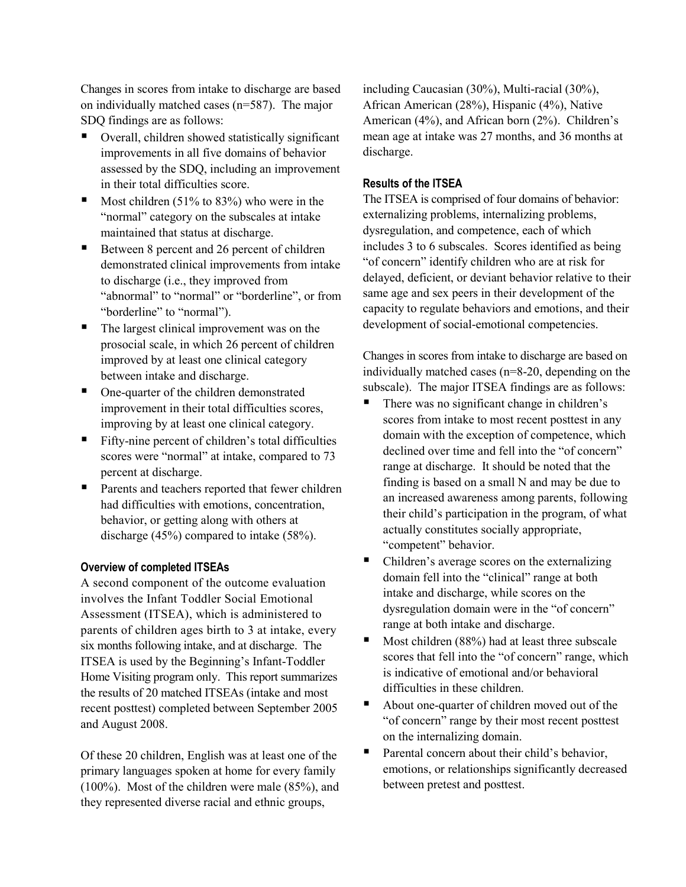Changes in scores from intake to discharge are based on individually matched cases (n=587). The major SDQ findings are as follows:

- Overall, children showed statistically significant improvements in all five domains of behavior assessed by the SDQ, including an improvement in their total difficulties score.
- Most children (51% to 83%) who were in the "normal" category on the subscales at intake maintained that status at discharge.
- Between 8 percent and 26 percent of children demonstrated clinical improvements from intake to discharge (i.e., they improved from "abnormal" to "normal" or "borderline", or from "borderline" to "normal").
- The largest clinical improvement was on the prosocial scale, in which 26 percent of children improved by at least one clinical category between intake and discharge.
- One-quarter of the children demonstrated improvement in their total difficulties scores, improving by at least one clinical category.
- Fifty-nine percent of children's total difficulties scores were "normal" at intake, compared to 73 percent at discharge.
- Parents and teachers reported that fewer children had difficulties with emotions, concentration, behavior, or getting along with others at discharge (45%) compared to intake (58%).

#### **Overview of completed ITSEAs**

A second component of the outcome evaluation involves the Infant Toddler Social Emotional Assessment (ITSEA), which is administered to parents of children ages birth to 3 at intake, every six months following intake, and at discharge. The ITSEA is used by the Beginning's Infant-Toddler Home Visiting program only. This report summarizes the results of 20 matched ITSEAs (intake and most recent posttest) completed between September 2005 and August 2008.

Of these 20 children, English was at least one of the primary languages spoken at home for every family (100%). Most of the children were male (85%), and they represented diverse racial and ethnic groups,

including Caucasian (30%), Multi-racial (30%), African American (28%), Hispanic (4%), Native American (4%), and African born (2%). Children's mean age at intake was 27 months, and 36 months at discharge.

#### **Results of the ITSEA**

The ITSEA is comprised of four domains of behavior: externalizing problems, internalizing problems, dysregulation, and competence, each of which includes 3 to 6 subscales. Scores identified as being "of concern" identify children who are at risk for delayed, deficient, or deviant behavior relative to their same age and sex peers in their development of the capacity to regulate behaviors and emotions, and their development of social-emotional competencies.

Changes in scores from intake to discharge are based on individually matched cases (n=8-20, depending on the subscale). The major ITSEA findings are as follows:

- There was no significant change in children's scores from intake to most recent posttest in any domain with the exception of competence, which declined over time and fell into the "of concern" range at discharge. It should be noted that the finding is based on a small N and may be due to an increased awareness among parents, following their child's participation in the program, of what actually constitutes socially appropriate, "competent" behavior.
- Children's average scores on the externalizing domain fell into the "clinical" range at both intake and discharge, while scores on the dysregulation domain were in the "of concern" range at both intake and discharge.
- $\blacksquare$  Most children (88%) had at least three subscale scores that fell into the "of concern" range, which is indicative of emotional and/or behavioral difficulties in these children.
- About one-quarter of children moved out of the "of concern" range by their most recent posttest on the internalizing domain.
- Parental concern about their child's behavior, emotions, or relationships significantly decreased between pretest and posttest.